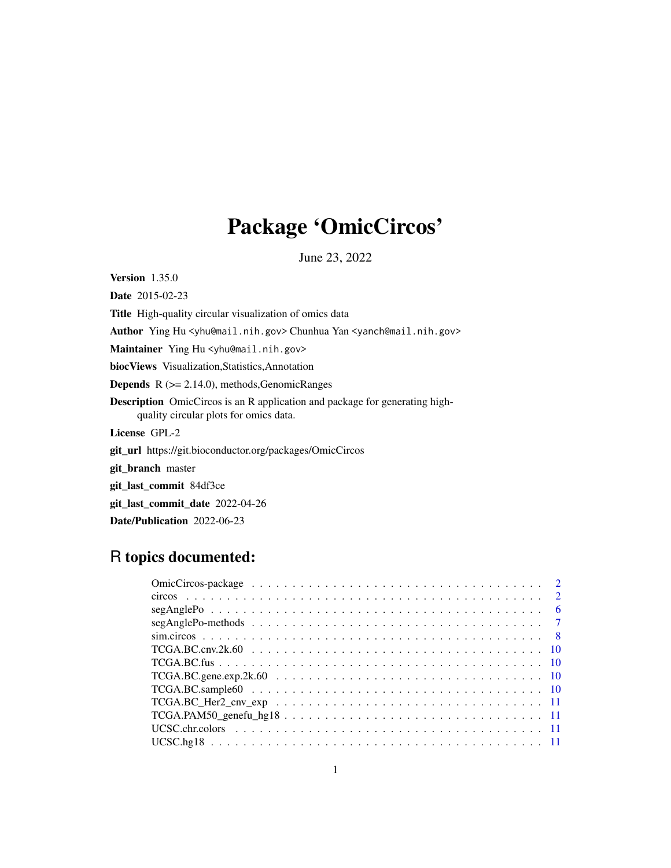## Package 'OmicCircos'

June 23, 2022

Version 1.35.0

Date 2015-02-23 Title High-quality circular visualization of omics data Author Ying Hu <yhu@mail.nih.gov> Chunhua Yan <yanch@mail.nih.gov> Maintainer Ying Hu <yhu@mail.nih.gov> biocViews Visualization,Statistics,Annotation **Depends**  $R$  ( $>= 2.14.0$ ), methods, Genomic Ranges Description OmicCircos is an R application and package for generating highquality circular plots for omics data. License GPL-2 git\_url https://git.bioconductor.org/packages/OmicCircos git\_branch master git\_last\_commit 84df3ce git\_last\_commit\_date 2022-04-26

Date/Publication 2022-06-23

## R topics documented:

| $TCGA.PAM50\_genefu\_hg18 11$ |  |
|-------------------------------|--|
|                               |  |
|                               |  |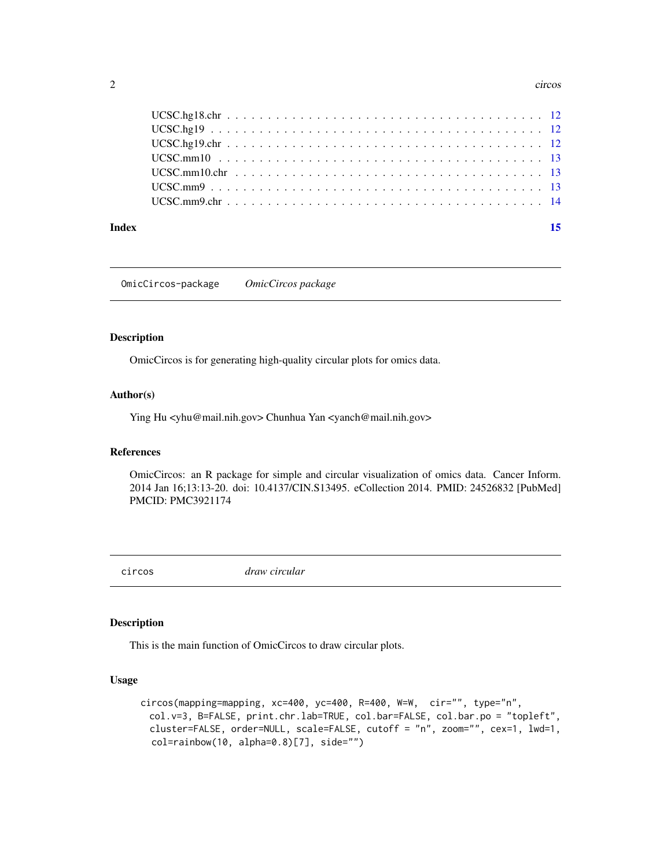#### <span id="page-1-0"></span>2 circos contra de la circos de la circos de la circos de la circos de la circos de la circos de la circos de la circos de la circos de la circos de la circos de la circos de la circos de la circos de la circos de la circo

#### **Index** [15](#page-14-0)

OmicCircos-package *OmicCircos package*

## Description

OmicCircos is for generating high-quality circular plots for omics data.

#### Author(s)

Ying Hu <yhu@mail.nih.gov> Chunhua Yan <yanch@mail.nih.gov>

#### References

OmicCircos: an R package for simple and circular visualization of omics data. Cancer Inform. 2014 Jan 16;13:13-20. doi: 10.4137/CIN.S13495. eCollection 2014. PMID: 24526832 [PubMed] PMCID: PMC3921174

circos *draw circular*

#### Description

This is the main function of OmicCircos to draw circular plots.

## Usage

```
circos(mapping=mapping, xc=400, yc=400, R=400, W=W, cir="", type="n",
 col.v=3, B=FALSE, print.chr.lab=TRUE, col.bar=FALSE, col.bar.po = "topleft",
 cluster=FALSE, order=NULL, scale=FALSE, cutoff = "n", zoom="", cex=1, lwd=1,
 col=rainbow(10, alpha=0.8)[7], side="")
```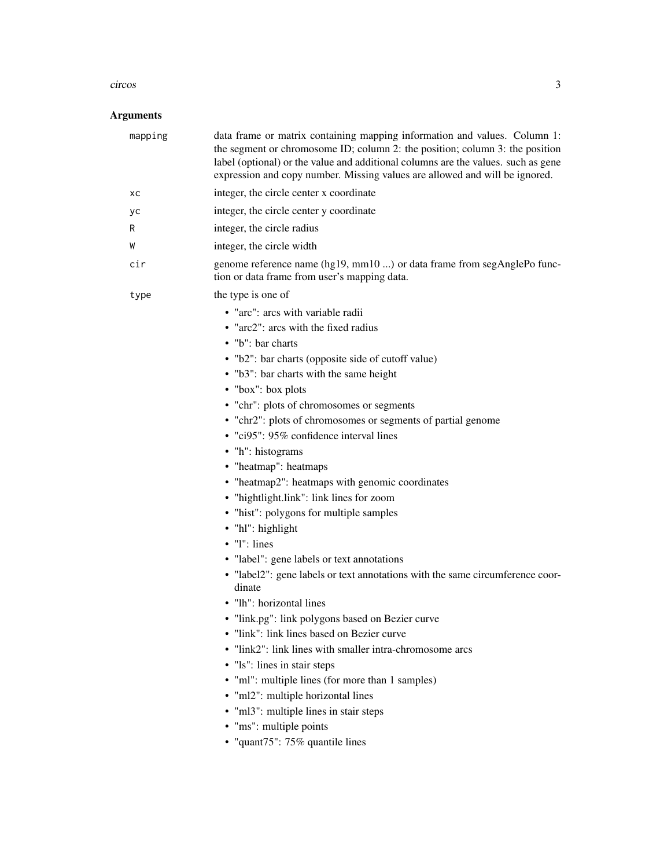#### circos to the contract of the contract of the contract of the contract of the contract of the contract of the contract of the contract of the contract of the contract of the contract of the contract of the contract of the

## Arguments

| mapping | data frame or matrix containing mapping information and values. Column 1:<br>the segment or chromosome ID; column 2: the position; column 3: the position<br>label (optional) or the value and additional columns are the values. such as gene<br>expression and copy number. Missing values are allowed and will be ignored.                                                                                                                                                                                                                                                                                                                                                                                                                                                                                                                                                                                                                                                                                                                                                   |
|---------|---------------------------------------------------------------------------------------------------------------------------------------------------------------------------------------------------------------------------------------------------------------------------------------------------------------------------------------------------------------------------------------------------------------------------------------------------------------------------------------------------------------------------------------------------------------------------------------------------------------------------------------------------------------------------------------------------------------------------------------------------------------------------------------------------------------------------------------------------------------------------------------------------------------------------------------------------------------------------------------------------------------------------------------------------------------------------------|
| xс      | integer, the circle center x coordinate                                                                                                                                                                                                                                                                                                                                                                                                                                                                                                                                                                                                                                                                                                                                                                                                                                                                                                                                                                                                                                         |
| уc      | integer, the circle center y coordinate                                                                                                                                                                                                                                                                                                                                                                                                                                                                                                                                                                                                                                                                                                                                                                                                                                                                                                                                                                                                                                         |
| R       | integer, the circle radius                                                                                                                                                                                                                                                                                                                                                                                                                                                                                                                                                                                                                                                                                                                                                                                                                                                                                                                                                                                                                                                      |
| W       | integer, the circle width                                                                                                                                                                                                                                                                                                                                                                                                                                                                                                                                                                                                                                                                                                                                                                                                                                                                                                                                                                                                                                                       |
| cir     | genome reference name (hg19, mm10 ) or data frame from segAnglePo func-<br>tion or data frame from user's mapping data.                                                                                                                                                                                                                                                                                                                                                                                                                                                                                                                                                                                                                                                                                                                                                                                                                                                                                                                                                         |
| type    | the type is one of                                                                                                                                                                                                                                                                                                                                                                                                                                                                                                                                                                                                                                                                                                                                                                                                                                                                                                                                                                                                                                                              |
|         | • "arc": arcs with variable radii<br>• "arc2": arcs with the fixed radius<br>• "b": bar charts<br>• "b2": bar charts (opposite side of cutoff value)<br>• "b3": bar charts with the same height<br>• "box": box plots<br>• "chr": plots of chromosomes or segments<br>• "chr2": plots of chromosomes or segments of partial genome<br>• "ci95": 95% confidence interval lines<br>• "h": histograms<br>• "heatmap": heatmaps<br>• "heatmap2": heatmaps with genomic coordinates<br>• "hightlight.link": link lines for zoom<br>• "hist": polygons for multiple samples<br>• "hl": highlight<br>$\bullet$ "l": lines<br>• "label": gene labels or text annotations<br>• "label2": gene labels or text annotations with the same circumference coor-<br>dinate<br>• "lh": horizontal lines<br>• "link.pg": link polygons based on Bezier curve<br>• "link": link lines based on Bezier curve<br>• "link2": link lines with smaller intra-chromosome arcs<br>• "1s": lines in stair steps<br>• "ml": multiple lines (for more than 1 samples)<br>• "ml2": multiple horizontal lines |
|         | • "ml3": multiple lines in stair steps<br>• "ms": multiple points<br>• "quant75": 75% quantile lines                                                                                                                                                                                                                                                                                                                                                                                                                                                                                                                                                                                                                                                                                                                                                                                                                                                                                                                                                                            |
|         |                                                                                                                                                                                                                                                                                                                                                                                                                                                                                                                                                                                                                                                                                                                                                                                                                                                                                                                                                                                                                                                                                 |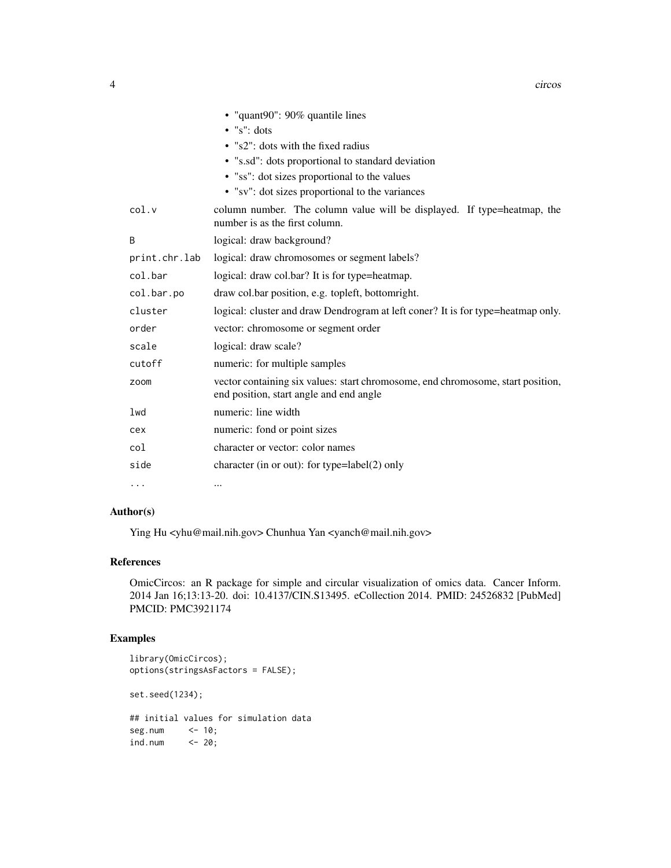|               | • "quant90": 90% quantile lines                                                                                            |
|---------------|----------------------------------------------------------------------------------------------------------------------------|
|               | $\bullet$ "s": dots                                                                                                        |
|               | • "s2": dots with the fixed radius                                                                                         |
|               | • "s.sd": dots proportional to standard deviation                                                                          |
|               | • "ss": dot sizes proportional to the values                                                                               |
|               | • "sv": dot sizes proportional to the variances                                                                            |
| col.v         | column number. The column value will be displayed. If type=heatmap, the<br>number is as the first column.                  |
| B             | logical: draw background?                                                                                                  |
| print.chr.lab | logical: draw chromosomes or segment labels?                                                                               |
| col.bar       | logical: draw col.bar? It is for type=heatmap.                                                                             |
| col.bar.po    | draw col.bar position, e.g. topleft, bottomright.                                                                          |
| cluster       | logical: cluster and draw Dendrogram at left coner? It is for type=heatmap only.                                           |
| order         | vector: chromosome or segment order                                                                                        |
| scale         | logical: draw scale?                                                                                                       |
| cutoff        | numeric: for multiple samples                                                                                              |
| zoom          | vector containing six values: start chromosome, end chromosome, start position,<br>end position, start angle and end angle |
| lwd           | numeric: line width                                                                                                        |
| cex           | numeric: fond or point sizes                                                                                               |
| col           | character or vector: color names                                                                                           |
| side          | character (in or out): for type=label $(2)$ only                                                                           |
| .             | $\cdots$                                                                                                                   |

## Author(s)

Ying Hu <yhu@mail.nih.gov> Chunhua Yan <yanch@mail.nih.gov>

## References

OmicCircos: an R package for simple and circular visualization of omics data. Cancer Inform. 2014 Jan 16;13:13-20. doi: 10.4137/CIN.S13495. eCollection 2014. PMID: 24526832 [PubMed] PMCID: PMC3921174

## Examples

```
library(OmicCircos);
options(stringsAsFactors = FALSE);
set.seed(1234);
## initial values for simulation data
seg.num <- 10;
ind.num \leftarrow 20;
```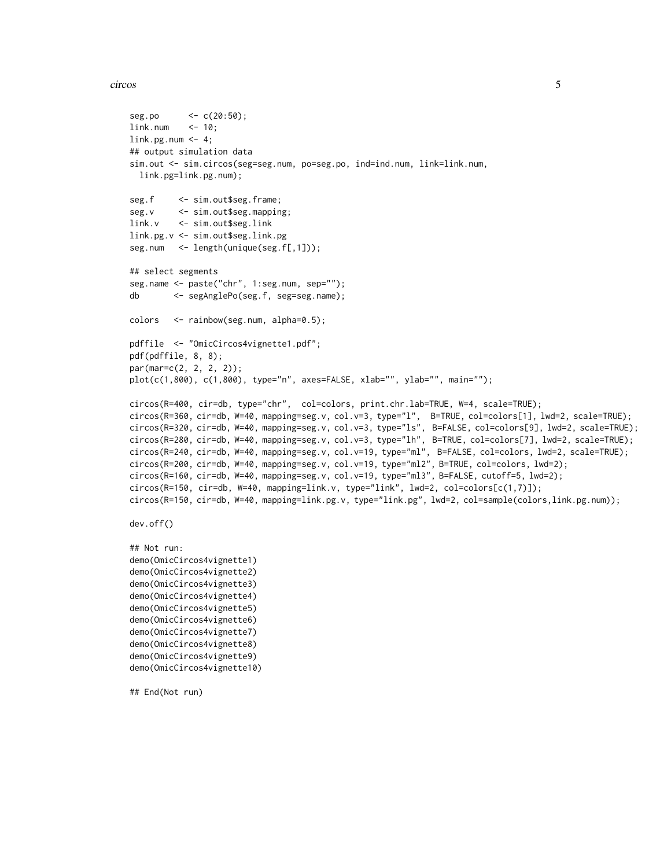#### circos to the contract of the contract of the contract of the contract of the contract of the contract of the contract of the contract of the contract of the contract of the contract of the contract of the contract of the

```
seg.po <- c(20:50);
link.num <- 10;
link.py.num < -4;## output simulation data
sim.out <- sim.circos(seg=seg.num, po=seg.po, ind=ind.num, link=link.num,
 link.pg=link.pg.num);
seg.f <- sim.out$seg.frame;
seg.v <- sim.out$seg.mapping;
link.v <- sim.out$seg.link
link.pg.v <- sim.out$seg.link.pg
seg.num <- length(unique(seg.f[,1]));
## select segments
seg.name <- paste("chr", 1:seg.num, sep="");
db <- segAnglePo(seg.f, seg=seg.name);
colors <- rainbow(seg.num, alpha=0.5);
pdffile <- "OmicCircos4vignette1.pdf";
pdf(pdffile, 8, 8);
par(mar=c(2, 2, 2, 2));
plot(c(1,800), c(1,800), type="n", axes=FALSE, xlab="", ylab="", main="");
circos(R=400, cir=db, type="chr", col=colors, print.chr.lab=TRUE, W=4, scale=TRUE);
circos(R=360, cir=db, W=40, mapping=seg.v, col.v=3, type="l", B=TRUE, col=colors[1], lwd=2, scale=TRUE);
circos(R=320, cir=db, W=40, mapping=seg.v, col.v=3, type="ls", B=FALSE, col=colors[9], lwd=2, scale=TRUE);
circos(R=280, cir=db, W=40, mapping=seg.v, col.v=3, type="lh", B=TRUE, col=colors[7], lwd=2, scale=TRUE);
circos(R=240, cir=db, W=40, mapping=seg.v, col.v=19, type="ml", B=FALSE, col=colors, lwd=2, scale=TRUE);
circos(R=200, cir=db, W=40, mapping=seg.v, col.v=19, type="ml2", B=TRUE, col=colors, lwd=2);
circos(R=160, cir=db, W=40, mapping=seg.v, col.v=19, type="ml3", B=FALSE, cutoff=5, lwd=2);
circos(R=150, cir=db, W=40, mapping=link.v, type="link", lwd=2, col=colors[c(1,7)]);
circos(R=150, cir=db, W=40, mapping=link.pg.v, type="link.pg", lwd=2, col=sample(colors,link.pg.num));
dev.off()
## Not run:
demo(OmicCircos4vignette1)
demo(OmicCircos4vignette2)
demo(OmicCircos4vignette3)
demo(OmicCircos4vignette4)
demo(OmicCircos4vignette5)
demo(OmicCircos4vignette6)
demo(OmicCircos4vignette7)
demo(OmicCircos4vignette8)
demo(OmicCircos4vignette9)
demo(OmicCircos4vignette10)
## End(Not run)
```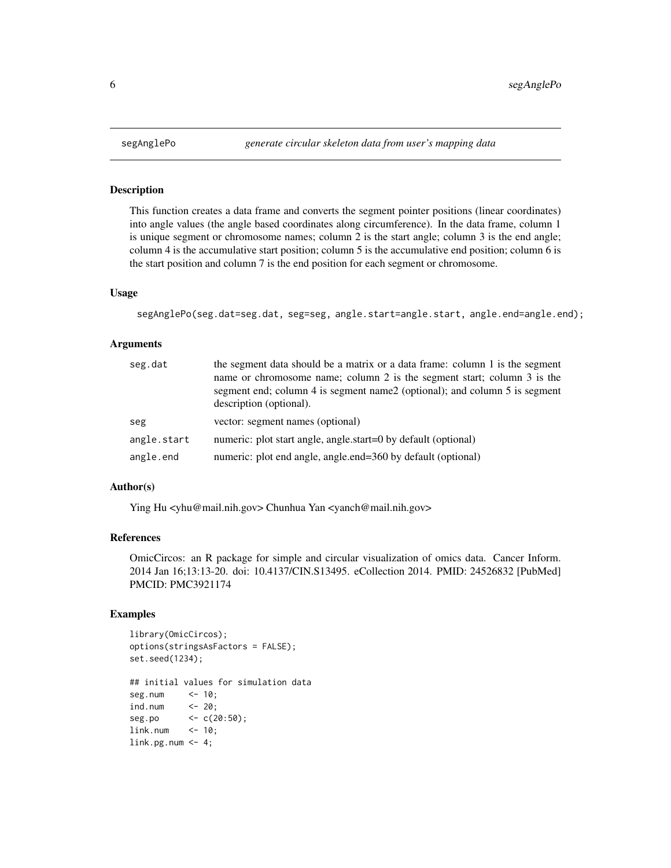This function creates a data frame and converts the segment pointer positions (linear coordinates) into angle values (the angle based coordinates along circumference). In the data frame, column 1 is unique segment or chromosome names; column 2 is the start angle; column 3 is the end angle; column 4 is the accumulative start position; column 5 is the accumulative end position; column 6 is the start position and column 7 is the end position for each segment or chromosome.

#### Usage

segAnglePo(seg.dat=seg.dat, seg=seg, angle.start=angle.start, angle.end=angle.end);

## Arguments

| seg.dat     | the segment data should be a matrix or a data frame: column 1 is the segment<br>name or chromosome name; column 2 is the segment start; column 3 is the<br>segment end; column 4 is segment name2 (optional); and column 5 is segment<br>description (optional). |  |
|-------------|------------------------------------------------------------------------------------------------------------------------------------------------------------------------------------------------------------------------------------------------------------------|--|
| seg         | vector: segment names (optional)                                                                                                                                                                                                                                 |  |
| angle.start | numeric: plot start angle, angle.start=0 by default (optional)                                                                                                                                                                                                   |  |
| angle.end   | numeric: plot end angle, angle.end=360 by default (optional)                                                                                                                                                                                                     |  |

#### Author(s)

Ying Hu <yhu@mail.nih.gov> Chunhua Yan <yanch@mail.nih.gov>

#### References

OmicCircos: an R package for simple and circular visualization of omics data. Cancer Inform. 2014 Jan 16;13:13-20. doi: 10.4137/CIN.S13495. eCollection 2014. PMID: 24526832 [PubMed] PMCID: PMC3921174

#### Examples

```
library(OmicCircos);
options(stringsAsFactors = FALSE);
set.seed(1234);
## initial values for simulation data
seg.num <- 10;
ind.num <- 20;
seg.po <- c(20:50);
link.num <- 10;
link.py.num < -4;
```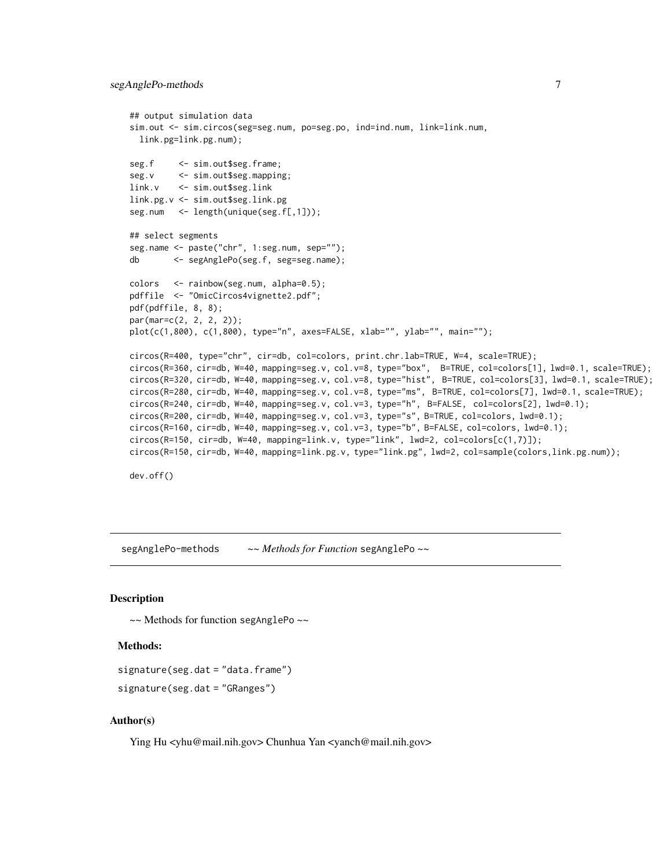```
## output simulation data
sim.out <- sim.circos(seg=seg.num, po=seg.po, ind=ind.num, link=link.num,
  link.pg=link.pg.num);
seg.f <- sim.out$seg.frame;
seg.v <- sim.out$seg.mapping;
link.v <- sim.out$seg.link
link.pg.v <- sim.out$seg.link.pg
seg.num <- length(unique(seg.f[,1]));
## select segments
seg.name <- paste("chr", 1:seg.num, sep="");
db <- segAnglePo(seg.f, seg=seg.name);
colors <- rainbow(seg.num, alpha=0.5);
pdffile <- "OmicCircos4vignette2.pdf";
pdf(pdffile, 8, 8);
par(mar=c(2, 2, 2, 2));
plot(c(1,800), c(1,800), type="n", axes=FALSE, xlab="", ylab="", main="");
circos(R=400, type="chr", cir=db, col=colors, print.chr.lab=TRUE, W=4, scale=TRUE);
circos(R=360, cir=db, W=40, mapping=seg.v, col.v=8, type="box", B=TRUE, col=colors[1], lwd=0.1, scale=TRUE);
circos(R=320, cir=db, W=40, mapping=seg.v, col.v=8, type="hist", B=TRUE, col=colors[3], lwd=0.1, scale=TRUE);
circos(R=280, cir=db, W=40, mapping=seg.v, col.v=8, type="ms", B=TRUE, col=colors[7], lwd=0.1, scale=TRUE);
circos(R=240, cir=db, W=40, mapping=seg.v, col.v=3, type="h", B=FALSE, col=colors[2], lwd=0.1);
circos(R=200, cir=db, W=40, mapping=seg.v, col.v=3, type="s", B=TRUE, col=colors, lwd=0.1);
circos(R=160, cir=db, W=40, mapping=seg.v, col.v=3, type="b", B=FALSE, col=colors, lwd=0.1);
circos(R=150, cir=db, W=40, mapping=link.v, type="link", lwd=2, col=colors[c(1,7)]);
circos(R=150, cir=db, W=40, mapping=link.pg.v, type="link.pg", lwd=2, col=sample(colors,link.pg.num));
dev.off()
```
segAnglePo-methods *~~ Methods for Function* segAnglePo *~~*

#### Description

~~ Methods for function segAnglePo ~~

#### Methods:

signature(seg.dat = "data.frame")

```
signature(seg.dat = "GRanges")
```
#### Author(s)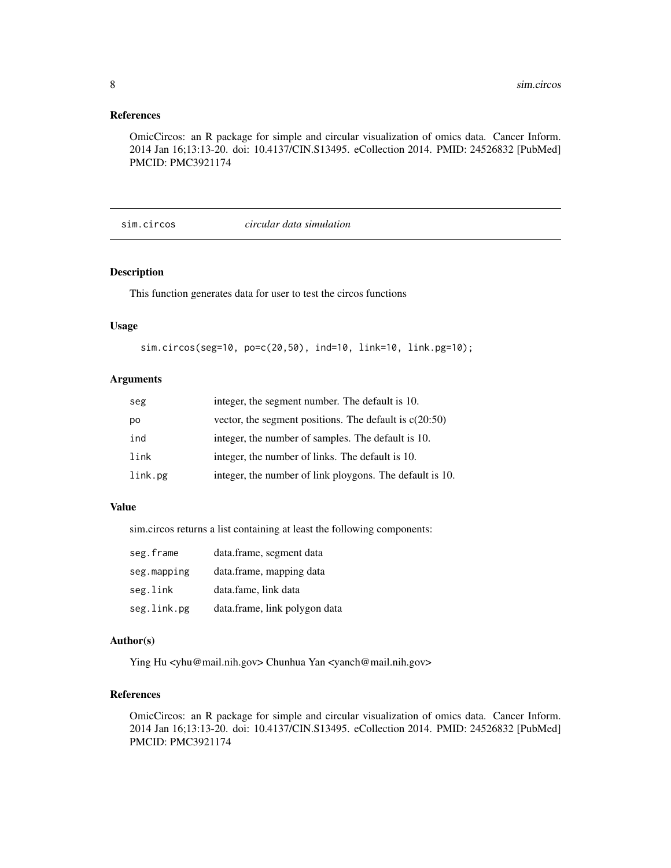#### <span id="page-7-0"></span>References

OmicCircos: an R package for simple and circular visualization of omics data. Cancer Inform. 2014 Jan 16;13:13-20. doi: 10.4137/CIN.S13495. eCollection 2014. PMID: 24526832 [PubMed] PMCID: PMC3921174

#### sim.circos *circular data simulation*

#### Description

This function generates data for user to test the circos functions

#### Usage

```
sim.circos(seg=10, po=c(20,50), ind=10, link=10, link.pg=10);
```
## Arguments

| seg     | integer, the segment number. The default is 10.          |
|---------|----------------------------------------------------------|
| po      | vector, the segment positions. The default is $c(20:50)$ |
| ind     | integer, the number of samples. The default is 10.       |
| link    | integer, the number of links. The default is 10.         |
| link.pg | integer, the number of link ploygons. The default is 10. |

#### Value

sim.circos returns a list containing at least the following components:

| seg.frame   | data.frame, segment data      |
|-------------|-------------------------------|
| seg.mapping | data.frame, mapping data      |
| seg.link    | data.fame, link data          |
| seg.link.pg | data.frame, link polygon data |

#### Author(s)

Ying Hu <yhu@mail.nih.gov> Chunhua Yan <yanch@mail.nih.gov>

## References

OmicCircos: an R package for simple and circular visualization of omics data. Cancer Inform. 2014 Jan 16;13:13-20. doi: 10.4137/CIN.S13495. eCollection 2014. PMID: 24526832 [PubMed] PMCID: PMC3921174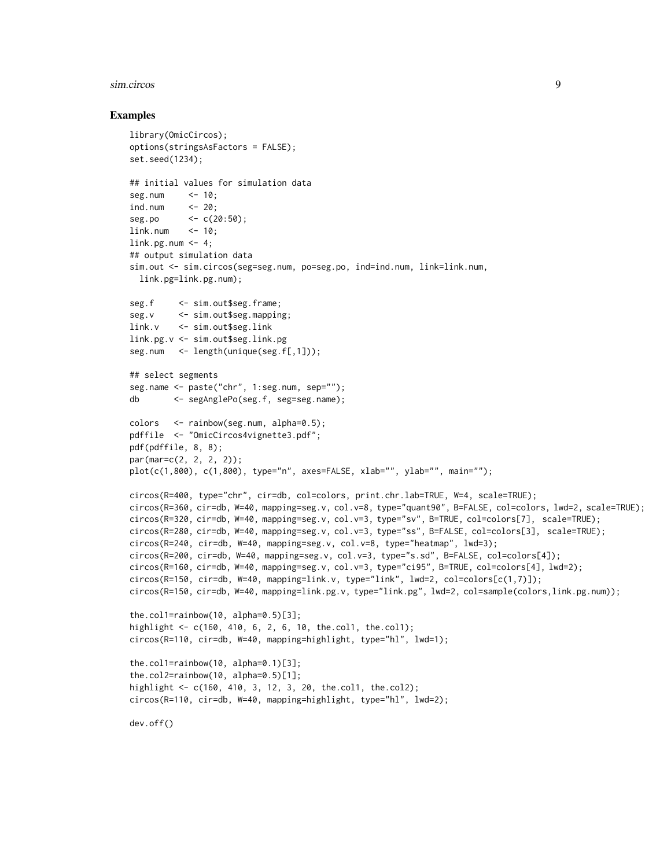#### sim.circos 9

#### Examples

```
library(OmicCircos);
options(stringsAsFactors = FALSE);
set.seed(1234);
## initial values for simulation data
seg.num <- 10;
ind.num <- 20;
seg.po <- c(20:50);
link.num <- 10;
link.py.num < -4;## output simulation data
sim.out <- sim.circos(seg=seg.num, po=seg.po, ind=ind.num, link=link.num,
 link.pg=link.pg.num);
seg.f <- sim.out$seg.frame;
seg.v <- sim.out$seg.mapping;
link.v <- sim.out$seg.link
link.pg.v <- sim.out$seg.link.pg
seg.num <- length(unique(seg.f[,1]));
## select segments
seg.name <- paste("chr", 1:seg.num, sep="");
db <- segAnglePo(seg.f, seg=seg.name);
colors <- rainbow(seg.num, alpha=0.5);
pdffile <- "OmicCircos4vignette3.pdf";
pdf(pdffile, 8, 8);
par(mar=c(2, 2, 2, 2));
plot(c(1,800), c(1,800), type="n", axes=FALSE, xlab="", ylab="", main="");
circos(R=400, type="chr", cir=db, col=colors, print.chr.lab=TRUE, W=4, scale=TRUE);
circos(R=360, cir=db, W=40, mapping=seg.v, col.v=8, type="quant90", B=FALSE, col=colors, lwd=2, scale=TRUE);
circos(R=320, cir=db, W=40, mapping=seg.v, col.v=3, type="sv", B=TRUE, col=colors[7], scale=TRUE);
circos(R=280, cir=db, W=40, mapping=seg.v, col.v=3, type="ss", B=FALSE, col=colors[3], scale=TRUE);
circos(R=240, cir=db, W=40, mapping=seg.v, col.v=8, type="heatmap", lwd=3);
circos(R=200, cir=db, W=40, mapping=seg.v, col.v=3, type="s.sd", B=FALSE, col=colors[4]);
circos(R=160, cir=db, W=40, mapping=seg.v, col.v=3, type="ci95", B=TRUE, col=colors[4], lwd=2);
circos(R=150, cir=db, W=40, mapping=link.v, type="link", lwd=2, col=colors[c(1,7)]);
circos(R=150, cir=db, W=40, mapping=link.pg.v, type="link.pg", lwd=2, col=sample(colors,link.pg.num));
the.col1=rainbow(10, alpha=0.5)[3];
highlight <- c(160, 410, 6, 2, 6, 10, the.col1, the.col1);
circos(R=110, cir=db, W=40, mapping=highlight, type="hl", lwd=1);
the.col1=rainbow(10, alpha=0.1)[3];
the.col2=rainbow(10, alpha=0.5)[1];
highlight <- c(160, 410, 3, 12, 3, 20, the.col1, the.col2);
circos(R=110, cir=db, W=40, mapping=highlight, type="hl", lwd=2);
dev.off()
```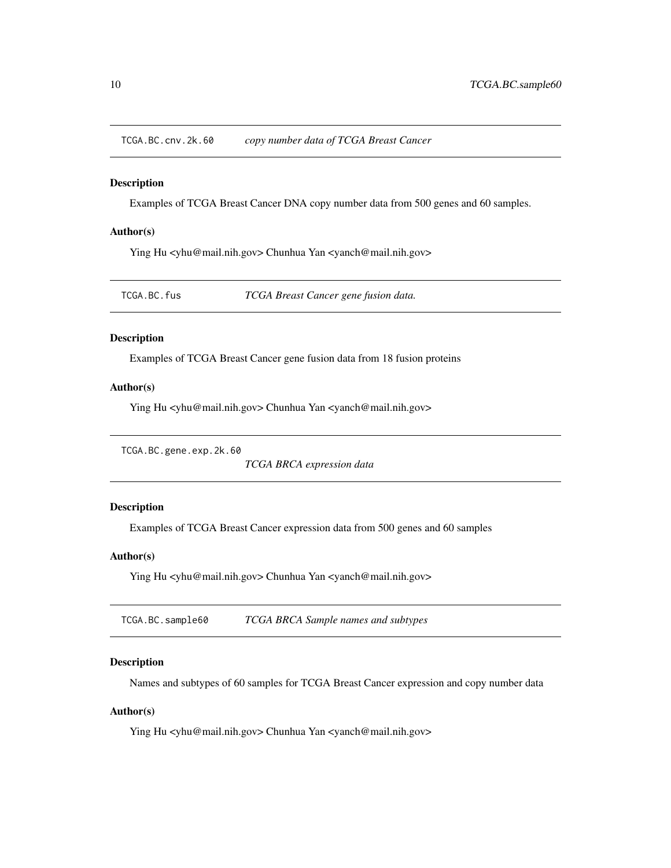<span id="page-9-0"></span>TCGA.BC.cnv.2k.60 *copy number data of TCGA Breast Cancer*

#### Description

Examples of TCGA Breast Cancer DNA copy number data from 500 genes and 60 samples.

#### Author(s)

Ying Hu <yhu@mail.nih.gov> Chunhua Yan <yanch@mail.nih.gov>

TCGA.BC.fus *TCGA Breast Cancer gene fusion data.*

## Description

Examples of TCGA Breast Cancer gene fusion data from 18 fusion proteins

#### Author(s)

Ying Hu <yhu@mail.nih.gov> Chunhua Yan <yanch@mail.nih.gov>

TCGA.BC.gene.exp.2k.60

*TCGA BRCA expression data*

## Description

Examples of TCGA Breast Cancer expression data from 500 genes and 60 samples

### Author(s)

Ying Hu <yhu@mail.nih.gov> Chunhua Yan <yanch@mail.nih.gov>

TCGA.BC.sample60 *TCGA BRCA Sample names and subtypes*

#### Description

Names and subtypes of 60 samples for TCGA Breast Cancer expression and copy number data

#### Author(s)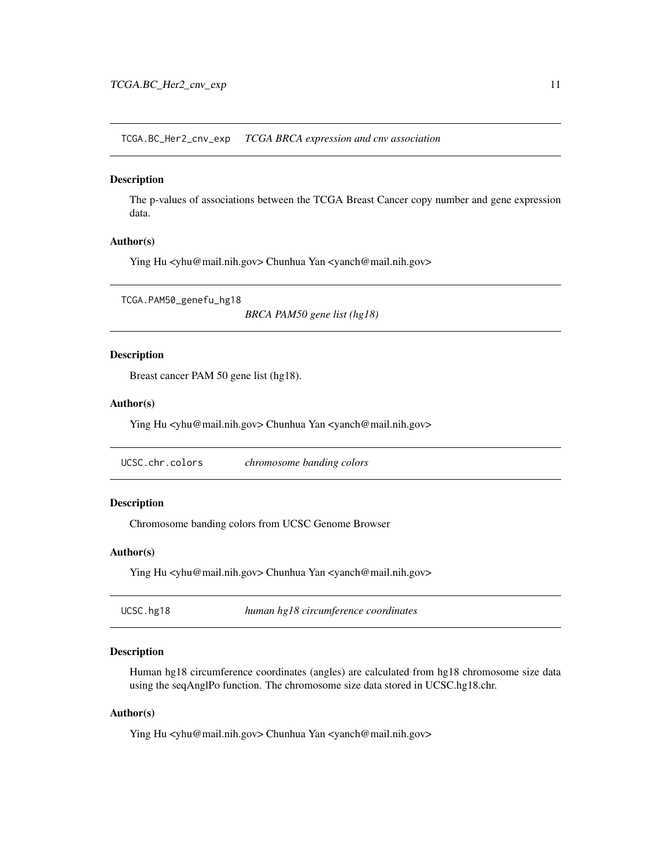<span id="page-10-0"></span>TCGA.BC\_Her2\_cnv\_exp *TCGA BRCA expression and cnv association*

#### Description

The p-values of associations between the TCGA Breast Cancer copy number and gene expression data.

#### Author(s)

Ying Hu <yhu@mail.nih.gov> Chunhua Yan <yanch@mail.nih.gov>

TCGA.PAM50\_genefu\_hg18

*BRCA PAM50 gene list (hg18)*

## Description

Breast cancer PAM 50 gene list (hg18).

## Author(s)

Ying Hu <yhu@mail.nih.gov> Chunhua Yan <yanch@mail.nih.gov>

UCSC.chr.colors *chromosome banding colors*

#### Description

Chromosome banding colors from UCSC Genome Browser

#### Author(s)

Ying Hu <yhu@mail.nih.gov> Chunhua Yan <yanch@mail.nih.gov>

| UCSC.hg18 | human hg18 circumference coordinates |
|-----------|--------------------------------------|
|-----------|--------------------------------------|

#### Description

Human hg18 circumference coordinates (angles) are calculated from hg18 chromosome size data using the seqAnglPo function. The chromosome size data stored in UCSC.hg18.chr.

#### Author(s)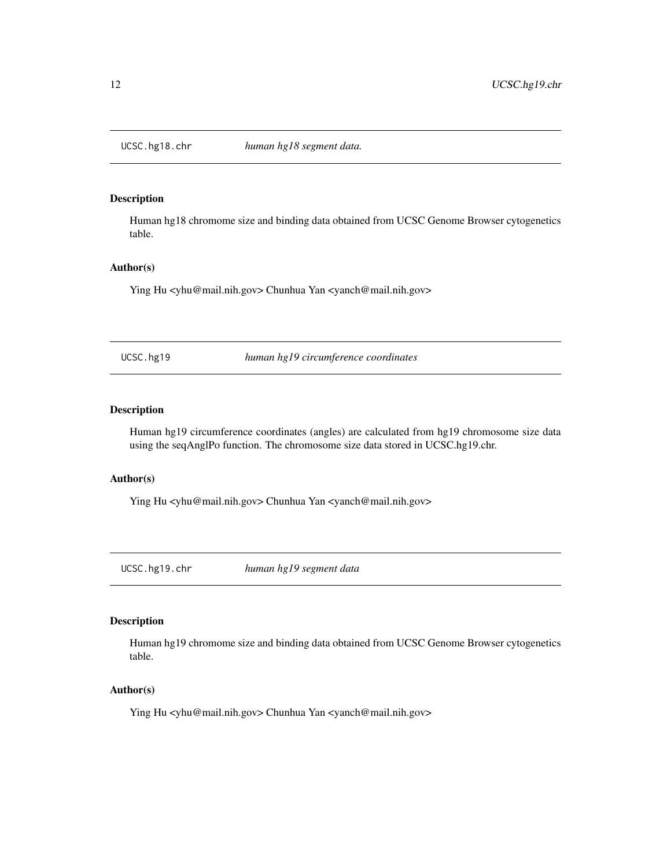<span id="page-11-0"></span>

Human hg18 chromome size and binding data obtained from UCSC Genome Browser cytogenetics table.

#### Author(s)

Ying Hu <yhu@mail.nih.gov> Chunhua Yan <yanch@mail.nih.gov>

UCSC.hg19 *human hg19 circumference coordinates*

## Description

Human hg19 circumference coordinates (angles) are calculated from hg19 chromosome size data using the seqAnglPo function. The chromosome size data stored in UCSC.hg19.chr.

#### Author(s)

Ying Hu <yhu@mail.nih.gov> Chunhua Yan <yanch@mail.nih.gov>

UCSC.hg19.chr *human hg19 segment data*

#### Description

Human hg19 chromome size and binding data obtained from UCSC Genome Browser cytogenetics table.

#### Author(s)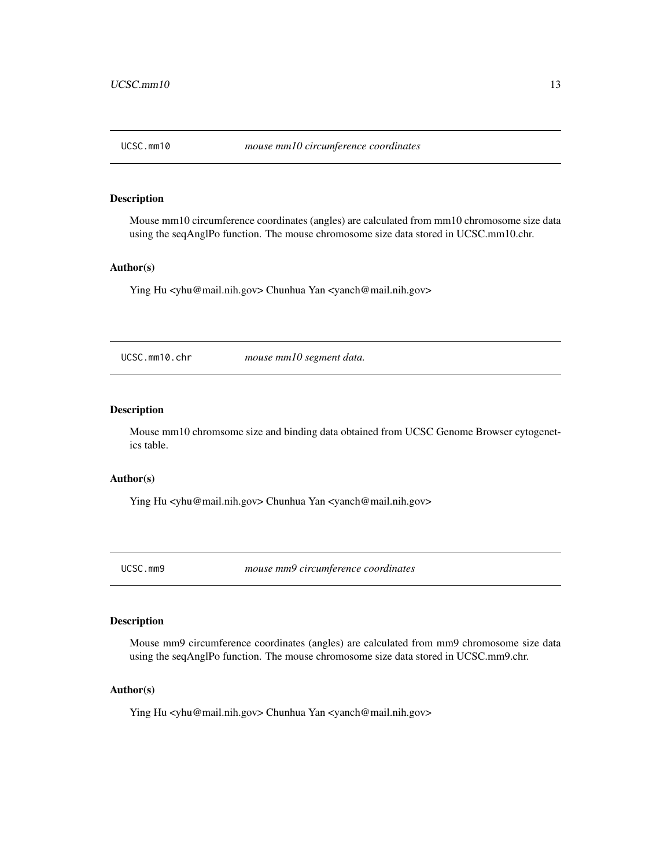<span id="page-12-0"></span>

Mouse mm10 circumference coordinates (angles) are calculated from mm10 chromosome size data using the seqAnglPo function. The mouse chromosome size data stored in UCSC.mm10.chr.

#### Author(s)

Ying Hu <yhu@mail.nih.gov> Chunhua Yan <yanch@mail.nih.gov>

UCSC.mm10.chr *mouse mm10 segment data.*

#### Description

Mouse mm10 chromsome size and binding data obtained from UCSC Genome Browser cytogenetics table.

#### Author(s)

Ying Hu <yhu@mail.nih.gov> Chunhua Yan <yanch@mail.nih.gov>

UCSC.mm9 *mouse mm9 circumference coordinates*

#### Description

Mouse mm9 circumference coordinates (angles) are calculated from mm9 chromosome size data using the seqAnglPo function. The mouse chromosome size data stored in UCSC.mm9.chr.

#### Author(s)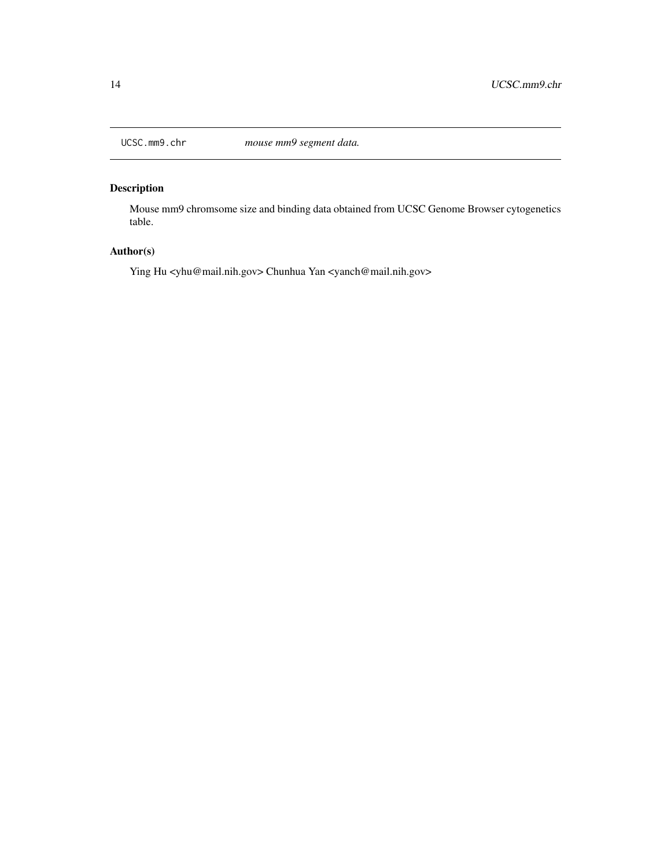<span id="page-13-0"></span>

Mouse mm9 chromsome size and binding data obtained from UCSC Genome Browser cytogenetics table.

## Author(s)